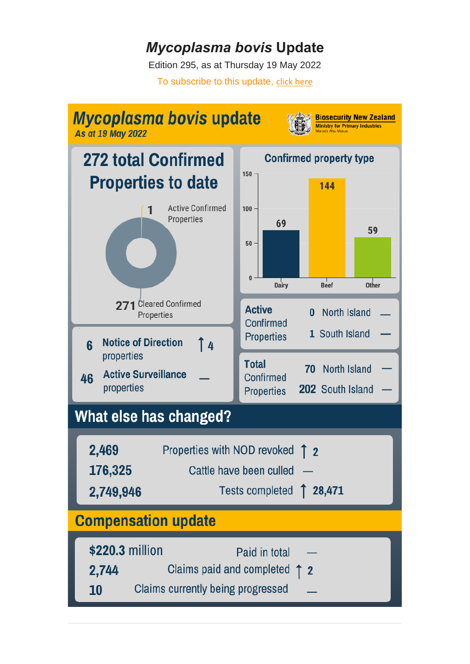## *Mycoplasma bovis* **Update**

Edition 295, as at Thursday 19 May 2022 To subscribe to this update, [click here](https://govt.us16.list-manage.com/subscribe?u=478b6510eba6aad9749219fb1&id=f6f318290a)

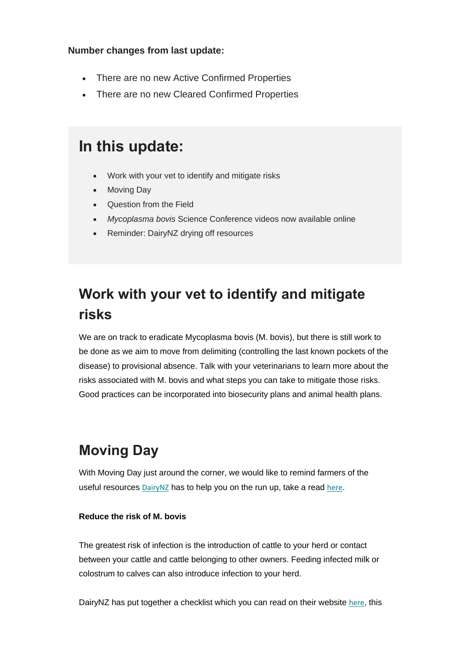#### **Number changes from last update:**

- There are no new Active Confirmed Properties
- There are no new Cleared Confirmed Properties

### **In this update:**

- Work with your vet to identify and mitigate risks
- Moving Day
- Question from the Field
- *Mycoplasma bovis* Science Conference videos now available online
- Reminder: DairyNZ drying off resources

## **Work with your vet to identify and mitigate risks**

We are on track to eradicate Mycoplasma bovis (M. bovis), but there is still work to be done as we aim to move from delimiting (controlling the last known pockets of the disease) to provisional absence. Talk with your veterinarians to learn more about the risks associated with M. bovis and what steps you can take to mitigate those risks. Good practices can be incorporated into biosecurity plans and animal health plans.

## **Moving Day**

With Moving Day just around the corner, we would like to remind farmers of the useful resources [DairyNZ](https://www.dairynz.co.nz/) has to help you on the run up, take a read [here](https://www.dairynz.co.nz/business/moving-day/).

#### **Reduce the risk of M. bovis**

The greatest risk of infection is the introduction of cattle to your herd or contact between your cattle and cattle belonging to other owners. Feeding infected milk or colostrum to calves can also introduce infection to your herd.

DairyNZ has put together a checklist which you can read on their website [here](https://www.dairynz.co.nz/business/moving-day/moving-animals/), this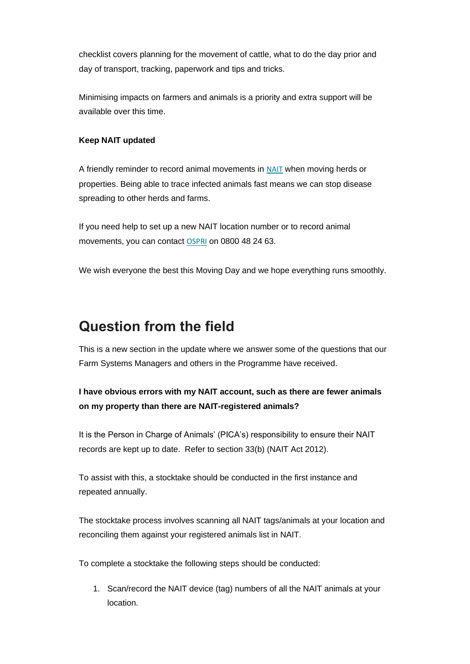checklist covers planning for the movement of cattle, what to do the day prior and day of transport, tracking, paperwork and tips and tricks.

Minimising impacts on farmers and animals is a priority and extra support will be available over this time.

#### **Keep NAIT updated**

A friendly reminder to record animal movements in [NAIT](https://animaltrace.nait.co.nz/) when moving herds or properties. Being able to trace infected animals fast means we can stop disease spreading to other herds and farms.

If you need help to set up a new NAIT location number or to record animal movements, you can contact [OSPRI](https://www.ospri.co.nz/) on 0800 48 24 63.

We wish everyone the best this Moving Day and we hope everything runs smoothly.

### **Question from the field**

This is a new section in the update where we answer some of the questions that our Farm Systems Managers and others in the Programme have received.

### **I have obvious errors with my NAIT account, such as there are fewer animals on my property than there are NAIT-registered animals?**

It is the Person in Charge of Animals' (PICA's) responsibility to ensure their NAIT records are kept up to date. Refer to section 33(b) (NAIT Act 2012).

To assist with this, a stocktake should be conducted in the first instance and repeated annually.

The stocktake process involves scanning all NAIT tags/animals at your location and reconciling them against your registered animals list in NAIT.

To complete a stocktake the following steps should be conducted:

1. Scan/record the NAIT device (tag) numbers of all the NAIT animals at your location.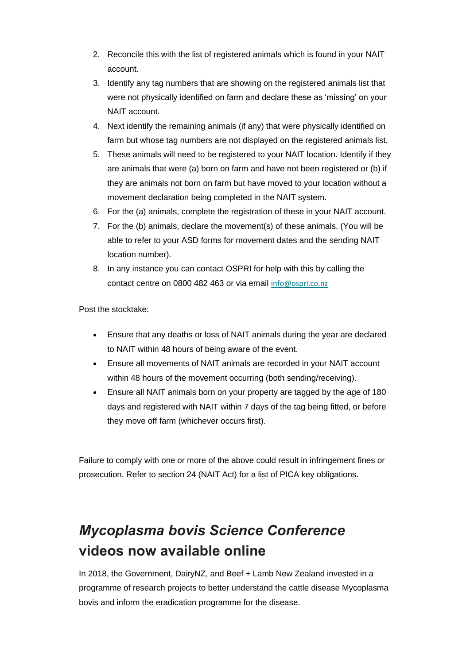- 2. Reconcile this with the list of registered animals which is found in your NAIT account.
- 3. Identify any tag numbers that are showing on the registered animals list that were not physically identified on farm and declare these as 'missing' on your NAIT account.
- 4. Next identify the remaining animals (if any) that were physically identified on farm but whose tag numbers are not displayed on the registered animals list.
- 5. These animals will need to be registered to your NAIT location. Identify if they are animals that were (a) born on farm and have not been registered or (b) if they are animals not born on farm but have moved to your location without a movement declaration being completed in the NAIT system.
- 6. For the (a) animals, complete the registration of these in your NAIT account.
- 7. For the (b) animals, declare the movement(s) of these animals. (You will be able to refer to your ASD forms for movement dates and the sending NAIT location number).
- 8. In any instance you can contact OSPRI for help with this by calling the contact centre on 0800 482 463 or via email [info@ospri.co.nz](mailto:info@ospri.co.nz)

Post the stocktake:

- Ensure that any deaths or loss of NAIT animals during the year are declared to NAIT within 48 hours of being aware of the event.
- Ensure all movements of NAIT animals are recorded in your NAIT account within 48 hours of the movement occurring (both sending/receiving).
- Ensure all NAIT animals born on your property are tagged by the age of 180 days and registered with NAIT within 7 days of the tag being fitted, or before they move off farm (whichever occurs first).

Failure to comply with one or more of the above could result in infringement fines or prosecution. Refer to section 24 (NAIT Act) for a list of PICA key obligations.

# *Mycoplasma bovis Science Conference* **videos now available online**

In 2018, the Government, DairyNZ, and Beef + Lamb New Zealand invested in a programme of research projects to better understand the cattle disease Mycoplasma bovis and inform the eradication programme for the disease.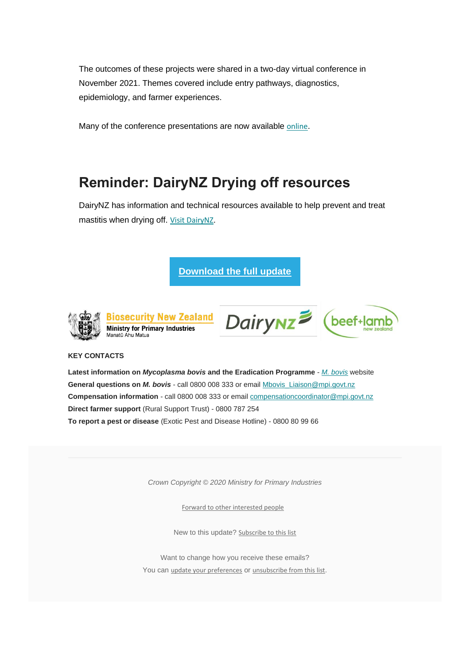The outcomes of these projects were shared in a two-day virtual conference in November 2021. Themes covered include entry pathways, diagnostics, epidemiology, and farmer experiences.

Many of the conference presentations are now available [online](https://www.mpi.govt.nz/biosecurity/mycoplasma-bovis/strategic-science-advisory-group/mycoplasma-bovis-science-conference/).

### **Reminder: DairyNZ Drying off resources**

DairyNZ has information and technical resources available to help prevent and treat mastitis when drying off. [Visit DairyNZ](https://www.dairynz.co.nz/animal/cow-health/mastitis/drying-off/).

**[Download the full update](https://mcusercontent.com/478b6510eba6aad9749219fb1/files/1b5106fa-03c1-217e-6d44-fac916d22cce/Mycoplasma_bovis_Update_294.02.pdf)**



**Biosecurity New Zealand Ministry for Primary Industries** Manatū Ahu Matua





#### **KEY CONTACTS**

**Latest information on** *Mycoplasma bovis* **and the Eradication Programme** - *M. [bovis](http://www.mbovis.govt.nz/)* website **General questions on** *M. bovis* - call 0800 008 333 or email [Mbovis\\_Liaison@mpi.govt.nz](mailto:Mbovis2017_Liaison@mpi.govt.nz) **Compensation information** - call 0800 008 333 or email [compensationcoordinator@mpi.govt.nz](mailto:compensationcoordinator@mpi.govt.nz) **Direct farmer support** (Rural Support Trust) - 0800 787 254 **To report a pest or disease** (Exotic Pest and Disease Hotline) - 0800 80 99 66

*Crown Copyright © 2020 Ministry for Primary Industries*

[Forward to other interested people](http://us16.forward-to-friend.com/forward?u=478b6510eba6aad9749219fb1&id=a47963af51&e=__test_email__)

New to this update? [Subscribe to this list](https://govt.us16.list-manage.com/subscribe?u=478b6510eba6aad9749219fb1&id=f6f318290a)

Want to change how you receive these emails? You can [update your preferences](https://govt.us16.list-manage.com/profile?u=478b6510eba6aad9749219fb1&id=f6f318290a&e=__test_email__&c=a47963af51) or [unsubscribe from this list](https://govt.us16.list-manage.com/unsubscribe?u=478b6510eba6aad9749219fb1&id=f6f318290a&e=__test_email__&c=a47963af51).